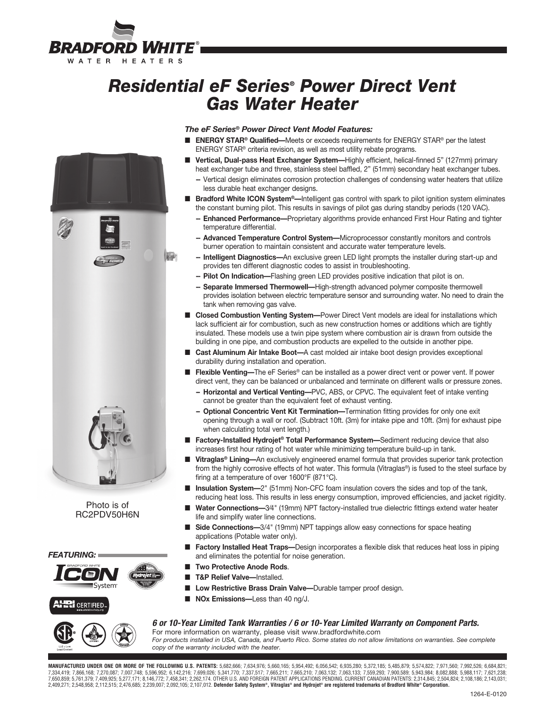

# *Residential eF Series® Power Direct Vent Gas Water Heater*

# $|A - A|$

Photo is of RC2PDV50H6N





# *The eF Series® Power Direct Vent Model Features:*

- **ENERGY STAR<sup>®</sup> Qualified—**Meets or exceeds requirements for ENERGY STAR<sup>®</sup> per the latest ENERGY STAR® criteria revision, as well as most utility rebate programs.
- **Vertical, Dual-pass Heat Exchanger System—Highly efficient, helical-finned 5" (127mm) primary** heat exchanger tube and three, stainless steel baffled, 2" (51mm) secondary heat exchanger tubes.
	- **--** Vertical design eliminates corrosion protection challenges of condensing water heaters that utilize less durable heat exchanger designs.
- **Bradford White ICON System®**—Intelligent gas control with spark to pilot ignition system eliminates the constant burning pilot. This results in savings of pilot gas during standby periods (120 VAC).
	- **-- Enhanced Performance—**Proprietary algorithms provide enhanced First Hour Rating and tighter temperature differential.
	- **-- Advanced Temperature Control System—**Microprocessor constantly monitors and controls burner operation to maintain consistent and accurate water temperature levels.
	- **-- Intelligent Diagnostics—**An exclusive green LED light prompts the installer during start-up and provides ten different diagnostic codes to assist in troubleshooting.
	- **-- Pilot On Indication—**Flashing green LED provides positive indication that pilot is on.
	- **-- Separate Immersed Thermowell—**High-strength advanced polymer composite thermowell provides isolation between electric temperature sensor and surrounding water. No need to drain the tank when removing gas valve.
- **Closed Combustion Venting System—**Power Direct Vent models are ideal for installations which lack sufficient air for combustion, such as new construction homes or additions which are tightly insulated. These models use a twin pipe system where combustion air is drawn from outside the building in one pipe, and combustion products are expelled to the outside in another pipe.
- **Cast Aluminum Air Intake Boot**—A cast molded air intake boot design provides exceptional durability during installation and operation.
- **Flexible Venting—The eF Series<sup>®</sup> can be installed as a power direct vent or power vent. If power** direct vent, they can be balanced or unbalanced and terminate on different walls or pressure zones.
	- **-- Horizontal and Vertical Venting—**PVC, ABS, or CPVC. The equivalent feet of intake venting cannot be greater than the equivalent feet of exhaust venting.
	- **-- Optional Concentric Vent Kit Termination—**Termination fitting provides for only one exit opening through a wall or roof. (Subtract 10ft. (3m) for intake pipe and 10ft. (3m) for exhaust pipe when calculating total vent length.)
- **Factory-Installed Hydrojet<sup>®</sup> Total Performance System—Sediment reducing device that also** increases first hour rating of hot water while minimizing temperature build-up in tank.
- **Vitraglas<sup>®</sup> Lining—**An exclusively engineered enamel formula that provides superior tank protection from the highly corrosive effects of hot water. This formula (Vitraglas®) is fused to the steel surface by firing at a temperature of over 1600°F (871°C).
- **Insulation System**—2<sup>"</sup> (51mm) Non-CFC foam insulation covers the sides and top of the tank, reducing heat loss. This results in less energy consumption, improved efficiencies, and jacket rigidity.
- Water Connections-3<sup>⁄4"</sup> (19mm) NPT factory-installed true dielectric fittings extend water heater life and simplify water line connections.
- **Side Connections**—3/4" (19mm) NPT tappings allow easy connections for space heating applications (Potable water only).
- **Factory Installed Heat Traps**—Design incorporates a flexible disk that reduces heat loss in piping and eliminates the potential for noise generation.
- **Two Protective Anode Rods.**
- **T&P Relief Valve—Installed.**
- Low Restrictive Brass Drain Valve—Durable tamper proof design.
- **NOx Emissions**—Less than 40 ng/J.

### *6 or 10-Year Limited Tank Warranties / 6 or 10- Year Limited Warranty on Component Parts.*



For more information on warranty, please visit www.bradfordwhite.com *For products installed in USA, Canada, and Puerto Rico. Some states do not allow limitations on warranties. See complete copy of the warranty included with the heater.*

**MANUFACTURED UNDER ONE OR MORE OF THE FOLLOWING U.S. PATENTS:** 5,682,666; 7,634,976; 5,660,165; 5,954,492; 6,056,542; 6,935,280; 5,372,185; 5,485,879; 5,574,822; 7,971,560; 7,992,526; 6,684,821; 7,334,419; 7,866,168; 7,270,087; 7,007,748; 5,596,952; 6,142,216; 7,699,026; 5,341,770; 7,337,517; 7,665,211; 7,665,210; 7,033,132; 7,063,133; 7,559,293; 7,900,589; 5,943,984; 8,082,888; 5,988,117; 7,621,238;<br>7,650,859; 5, 2,409,271; 2,548,958; 2,112,515; 2,476,685; 2,239,007; 2,092,105; 2,107,012. **Defender Safety System®, Vitraglas® and Hydrojet® are registered trademarks of Bradford White® Corporation.**